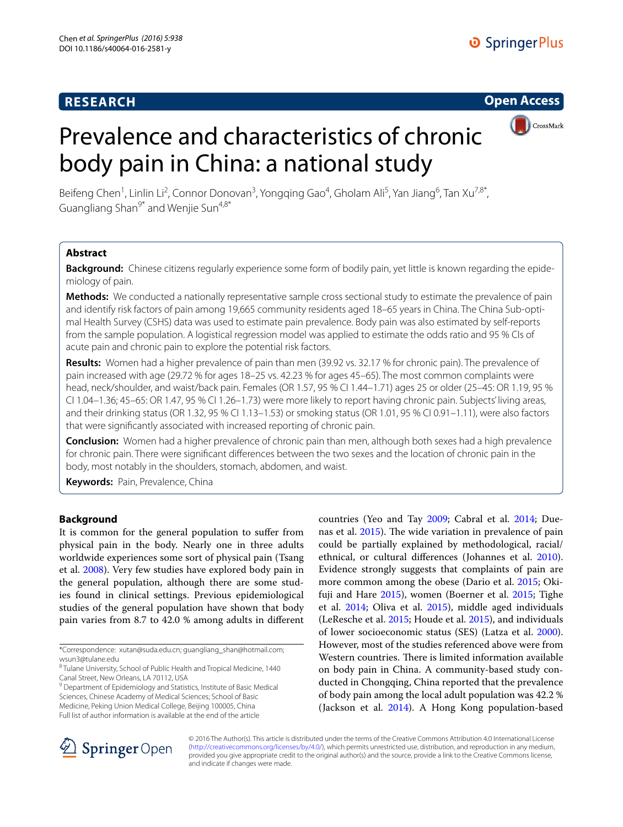# **RESEARCH**





# Prevalence and characteristics of chronic body pain in China: a national study

Beifeng Chen<sup>1</sup>, Linlin Li<sup>2</sup>, Connor Donovan<sup>3</sup>, Yongqing Gao<sup>4</sup>, Gholam Ali<sup>5</sup>, Yan Jiang<sup>6</sup>, Tan Xu<sup>7,8\*</sup>, Guangliang Shan<sup>9\*</sup> and Wenjie Sun<sup>4,8\*</sup>

# **Abstract**

**Background:** Chinese citizens regularly experience some form of bodily pain, yet little is known regarding the epidemiology of pain.

**Methods:** We conducted a nationally representative sample cross sectional study to estimate the prevalence of pain and identify risk factors of pain among 19,665 community residents aged 18–65 years in China. The China Sub-optimal Health Survey (CSHS) data was used to estimate pain prevalence. Body pain was also estimated by self-reports from the sample population. A logistical regression model was applied to estimate the odds ratio and 95 % CIs of acute pain and chronic pain to explore the potential risk factors.

**Results:** Women had a higher prevalence of pain than men (39.92 vs. 32.17 % for chronic pain). The prevalence of pain increased with age (29.72 % for ages 18–25 vs. 42.23 % for ages 45–65). The most common complaints were head, neck/shoulder, and waist/back pain. Females (OR 1.57, 95 % CI 1.44–1.71) ages 25 or older (25–45: OR 1.19, 95 % CI 1.04–1.36; 45–65: OR 1.47, 95 % CI 1.26–1.73) were more likely to report having chronic pain. Subjects' living areas, and their drinking status (OR 1.32, 95 % CI 1.13–1.53) or smoking status (OR 1.01, 95 % CI 0.91–1.11), were also factors that were significantly associated with increased reporting of chronic pain.

**Conclusion:** Women had a higher prevalence of chronic pain than men, although both sexes had a high prevalence for chronic pain. There were significant differences between the two sexes and the location of chronic pain in the body, most notably in the shoulders, stomach, abdomen, and waist.

**Keywords:** Pain, Prevalence, China

# **Background**

It is common for the general population to suffer from physical pain in the body. Nearly one in three adults worldwide experiences some sort of physical pain (Tsang et al. [2008](#page-5-0)). Very few studies have explored body pain in the general population, although there are some studies found in clinical settings. Previous epidemiological studies of the general population have shown that body pain varies from 8.7 to 42.0 % among adults in different

\*Correspondence: xutan@suda.edu.cn; guangliang\_shan@hotmail.com; wsun3@tulane.edu

<sup>8</sup> Tulane University, School of Public Health and Tropical Medicine, 1440 Canal Street, New Orleans, LA 70112, USA

<sup>9</sup> Department of Epidemiology and Statistics, Institute of Basic Medical Sciences, Chinese Academy of Medical Sciences; School of Basic Medicine, Peking Union Medical College, Beijing 100005, China Full list of author information is available at the end of the article

countries (Yeo and Tay [2009](#page-5-1); Cabral et al. [2014](#page-4-0); Duenas et al. [2015\)](#page-4-1). The wide variation in prevalence of pain could be partially explained by methodological, racial/ ethnical, or cultural differences (Johannes et al. [2010](#page-4-2)). Evidence strongly suggests that complaints of pain are more common among the obese (Dario et al. [2015](#page-4-3); Okifuji and Hare [2015\)](#page-5-2), women (Boerner et al. [2015;](#page-4-4) Tighe et al. [2014;](#page-5-3) Oliva et al. [2015](#page-5-4)), middle aged individuals (LeResche et al. [2015](#page-5-5); Houde et al. [2015\)](#page-4-5), and individuals of lower socioeconomic status (SES) (Latza et al. [2000](#page-4-6)). However, most of the studies referenced above were from Western countries. There is limited information available on body pain in China. A community-based study conducted in Chongqing, China reported that the prevalence of body pain among the local adult population was 42.2 % (Jackson et al. [2014\)](#page-4-7). A Hong Kong population-based



© 2016 The Author(s). This article is distributed under the terms of the Creative Commons Attribution 4.0 International License [\(http://creativecommons.org/licenses/by/4.0/\)](http://creativecommons.org/licenses/by/4.0/), which permits unrestricted use, distribution, and reproduction in any medium, provided you give appropriate credit to the original author(s) and the source, provide a link to the Creative Commons license, and indicate if changes were made.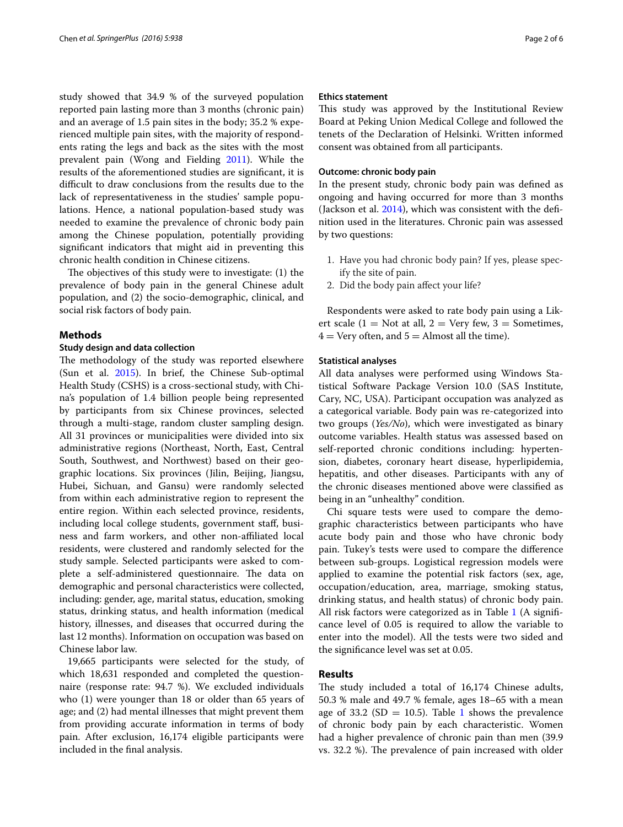study showed that 34.9 % of the surveyed population reported pain lasting more than 3 months (chronic pain) and an average of 1.5 pain sites in the body; 35.2 % experienced multiple pain sites, with the majority of respondents rating the legs and back as the sites with the most prevalent pain (Wong and Fielding [2011](#page-5-6)). While the results of the aforementioned studies are significant, it is difficult to draw conclusions from the results due to the lack of representativeness in the studies' sample populations. Hence, a national population-based study was needed to examine the prevalence of chronic body pain among the Chinese population, potentially providing significant indicators that might aid in preventing this chronic health condition in Chinese citizens.

The objectives of this study were to investigate: (1) the prevalence of body pain in the general Chinese adult population, and (2) the socio-demographic, clinical, and social risk factors of body pain.

## **Methods**

## **Study design and data collection**

The methodology of the study was reported elsewhere (Sun et al. [2015\)](#page-5-7). In brief, the Chinese Sub-optimal Health Study (CSHS) is a cross-sectional study, with China's population of 1.4 billion people being represented by participants from six Chinese provinces, selected through a multi-stage, random cluster sampling design. All 31 provinces or municipalities were divided into six administrative regions (Northeast, North, East, Central South, Southwest, and Northwest) based on their geographic locations. Six provinces (Jilin, Beijing, Jiangsu, Hubei, Sichuan, and Gansu) were randomly selected from within each administrative region to represent the entire region. Within each selected province, residents, including local college students, government staff, business and farm workers, and other non-affiliated local residents, were clustered and randomly selected for the study sample. Selected participants were asked to complete a self-administered questionnaire. The data on demographic and personal characteristics were collected, including: gender, age, marital status, education, smoking status, drinking status, and health information (medical history, illnesses, and diseases that occurred during the last 12 months). Information on occupation was based on Chinese labor law.

19,665 participants were selected for the study, of which 18,631 responded and completed the questionnaire (response rate: 94.7 %). We excluded individuals who (1) were younger than 18 or older than 65 years of age; and (2) had mental illnesses that might prevent them from providing accurate information in terms of body pain. After exclusion, 16,174 eligible participants were included in the final analysis.

## **Ethics statement**

This study was approved by the Institutional Review Board at Peking Union Medical College and followed the tenets of the Declaration of Helsinki. Written informed consent was obtained from all participants.

### **Outcome: chronic body pain**

In the present study, chronic body pain was defined as ongoing and having occurred for more than 3 months (Jackson et al. [2014\)](#page-4-7), which was consistent with the definition used in the literatures. Chronic pain was assessed by two questions:

- 1. Have you had chronic body pain? If yes, please specify the site of pain.
- 2. Did the body pain affect your life?

Respondents were asked to rate body pain using a Likert scale (1 = Not at all, 2 = Very few, 3 = Sometimes,  $4 =$  Very often, and  $5 =$  Almost all the time).

#### **Statistical analyses**

All data analyses were performed using Windows Statistical Software Package Version 10.0 (SAS Institute, Cary, NC, USA). Participant occupation was analyzed as a categorical variable. Body pain was re-categorized into two groups (*Yes/No*), which were investigated as binary outcome variables. Health status was assessed based on self-reported chronic conditions including: hypertension, diabetes, coronary heart disease, hyperlipidemia, hepatitis, and other diseases. Participants with any of the chronic diseases mentioned above were classified as being in an "unhealthy" condition.

Chi square tests were used to compare the demographic characteristics between participants who have acute body pain and those who have chronic body pain. Tukey's tests were used to compare the difference between sub-groups. Logistical regression models were applied to examine the potential risk factors (sex, age, occupation/education, area, marriage, smoking status, drinking status, and health status) of chronic body pain. All risk factors were categorized as in Table [1](#page-2-0) (A significance level of 0.05 is required to allow the variable to enter into the model). All the tests were two sided and the significance level was set at 0.05.

## **Results**

The study included a total of 16,174 Chinese adults, 50.3 % male and 49.7 % female, ages 18–65 with a mean age of 33.2 (SD = [1](#page-2-0)0.5). Table 1 shows the prevalence of chronic body pain by each characteristic. Women had a higher prevalence of chronic pain than men (39.9 vs. 32.2 %). The prevalence of pain increased with older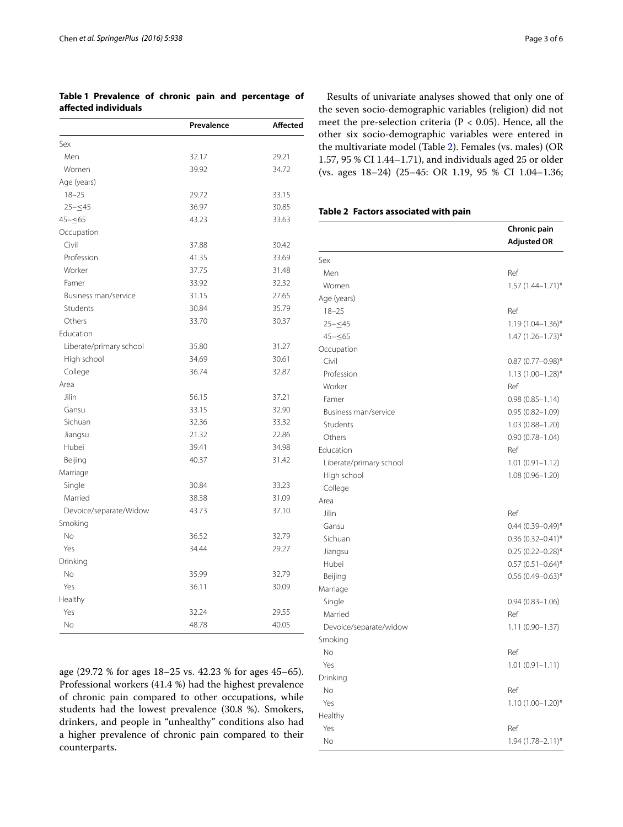<span id="page-2-0"></span>

|                      |  |  | Table 1 Prevalence of chronic pain and percentage of |  |
|----------------------|--|--|------------------------------------------------------|--|
| affected individuals |  |  |                                                      |  |

|                         | Prevalence | Affected |
|-------------------------|------------|----------|
| Sex                     |            |          |
| Men                     | 32.17      | 29.21    |
| Women                   | 39.92      | 34.72    |
| Age (years)             |            |          |
| $18 - 25$               | 29.72      | 33.15    |
| $25 - 545$              | 36.97      | 30.85    |
| $45 - 565$              | 43.23      | 33.63    |
| Occupation              |            |          |
| Civil                   | 37.88      | 30.42    |
| Profession              | 41.35      | 33.69    |
| Worker                  | 37.75      | 31.48    |
| Famer                   | 33.92      | 32.32    |
| Business man/service    | 31.15      | 27.65    |
| Students                | 30.84      | 35.79    |
| Others                  | 33.70      | 30.37    |
| Education               |            |          |
| Liberate/primary school | 35.80      | 31.27    |
| High school             | 34.69      | 30.61    |
| College                 | 36.74      | 32.87    |
| Area                    |            |          |
| Jilin                   | 56.15      | 37.21    |
| Gansu                   | 33.15      | 32.90    |
| Sichuan                 | 32.36      | 33.32    |
| Jiangsu                 | 21.32      | 22.86    |
| Hubei                   | 39.41      | 34.98    |
| Beijing                 | 40.37      | 31.42    |
| Marriage                |            |          |
| Single                  | 30.84      | 33.23    |
| Married                 | 38.38      | 31.09    |
| Devoice/separate/Widow  | 43.73      | 37.10    |
| Smoking                 |            |          |
| No                      | 36.52      | 32.79    |
| Yes                     | 34.44      | 29.27    |
| Drinking                |            |          |
| <b>No</b>               | 35.99      | 32.79    |
| Yes                     | 36.11      | 30.09    |
| Healthy                 |            |          |
| Yes                     | 32.24      | 29.55    |
| No                      | 48.78      | 40.05    |

age (29.72 % for ages 18–25 vs. 42.23 % for ages 45–65). Professional workers (41.4 %) had the highest prevalence of chronic pain compared to other occupations, while students had the lowest prevalence (30.8 %). Smokers, drinkers, and people in "unhealthy" conditions also had a higher prevalence of chronic pain compared to their counterparts.

Results of univariate analyses showed that only one of the seven socio-demographic variables (religion) did not meet the pre-selection criteria ( $P < 0.05$ ). Hence, all the other six socio-demographic variables were entered in the multivariate model (Table [2](#page-2-1)). Females (vs. males) (OR 1.57, 95 % CI 1.44–1.71), and individuals aged 25 or older (vs. ages 18–24) (25–45: OR 1.19, 95 % CI 1.04–1.36;

### <span id="page-2-1"></span>**Table 2 Factors associated with pain**

|                         | Chronic pain<br><b>Adjusted OR</b> |  |
|-------------------------|------------------------------------|--|
| Sex                     |                                    |  |
| Men                     | Ref                                |  |
| Women                   | $1.57(1.44 - 1.71)^{*}$            |  |
| Age (years)             |                                    |  |
| $18 - 25$               | Ref                                |  |
| $25 - 545$              | $1.19(1.04 - 1.36)^{*}$            |  |
| $45 - 565$              | 1.47 (1.26-1.73)*                  |  |
| Occupation              |                                    |  |
| Civil                   | $0.87$ (0.77-0.98)*                |  |
| Profession              | $1.13(1.00 - 1.28)$ *              |  |
| Worker                  | Ref                                |  |
| Famer                   | $0.98(0.85 - 1.14)$                |  |
| Business man/service    | $0.95(0.82 - 1.09)$                |  |
| Students                | 1.03 (0.88-1.20)                   |  |
| Others                  | $0.90(0.78 - 1.04)$                |  |
| Education               | Ref                                |  |
| Liberate/primary school | $1.01(0.91 - 1.12)$                |  |
| High school             | 1.08 (0.96-1.20)                   |  |
| College                 |                                    |  |
| Area                    |                                    |  |
| Jilin                   | Ref                                |  |
| Gansu                   | $0.44$ (0.39-0.49)*                |  |
| Sichuan                 | $0.36(0.32 - 0.41)^*$              |  |
| Jiangsu                 | $0.25(0.22 - 0.28)^*$              |  |
| Hubei                   | $0.57$ (0.51-0.64)*                |  |
| Beijing                 | $0.56$ (0.49-0.63)*                |  |
| Marriage                |                                    |  |
| Single                  | $0.94(0.83 - 1.06)$                |  |
| Married                 | Ref                                |  |
| Devoice/separate/widow  | $1.11(0.90 - 1.37)$                |  |
| Smoking                 |                                    |  |
| No                      | Ref                                |  |
| Yes                     | $1.01(0.91 - 1.11)$                |  |
| Drinking                |                                    |  |
| No                      | Ref                                |  |
| Yes                     | $1.10(1.00 - 1.20)$ *              |  |
| Healthy                 |                                    |  |
| Yes                     | Ref                                |  |
| No                      | $1.94(1.78 - 2.11)^*$              |  |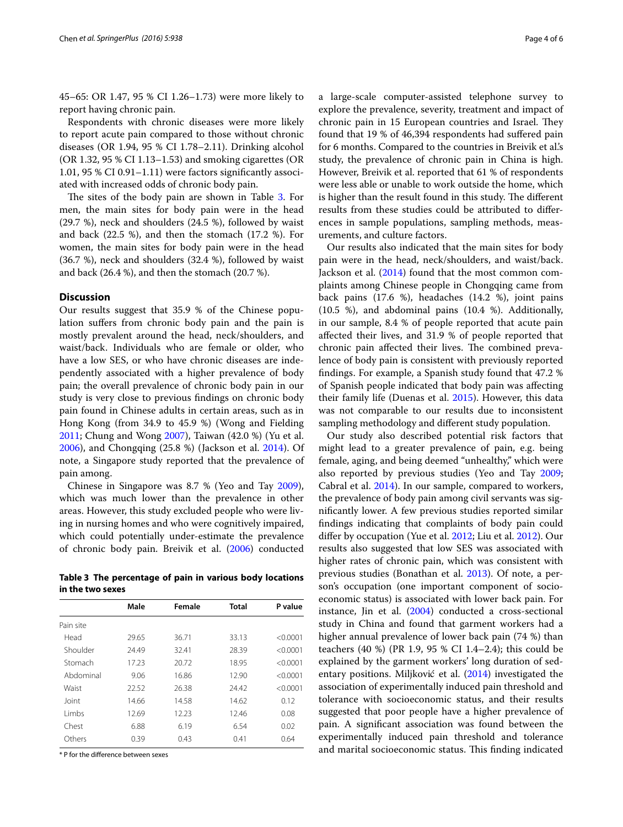45–65: OR 1.47, 95 % CI 1.26–1.73) were more likely to report having chronic pain.

Respondents with chronic diseases were more likely to report acute pain compared to those without chronic diseases (OR 1.94, 95 % CI 1.78–2.11). Drinking alcohol (OR 1.32, 95 % CI 1.13–1.53) and smoking cigarettes (OR 1.01, 95 % CI 0.91–1.11) were factors significantly associated with increased odds of chronic body pain.

The sites of the body pain are shown in Table [3.](#page-3-0) For men, the main sites for body pain were in the head (29.7 %), neck and shoulders (24.5 %), followed by waist and back (22.5 %), and then the stomach (17.2 %). For women, the main sites for body pain were in the head (36.7 %), neck and shoulders (32.4 %), followed by waist and back (26.4 %), and then the stomach (20.7 %).

## **Discussion**

Our results suggest that 35.9 % of the Chinese population suffers from chronic body pain and the pain is mostly prevalent around the head, neck/shoulders, and waist/back. Individuals who are female or older, who have a low SES, or who have chronic diseases are independently associated with a higher prevalence of body pain; the overall prevalence of chronic body pain in our study is very close to previous findings on chronic body pain found in Chinese adults in certain areas, such as in Hong Kong (from 34.9 to 45.9 %) (Wong and Fielding [2011](#page-5-6); Chung and Wong [2007\)](#page-4-8), Taiwan (42.0 %) (Yu et al. [2006](#page-5-8)), and Chongqing (25.8 %) (Jackson et al. [2014](#page-4-7)). Of note, a Singapore study reported that the prevalence of pain among.

Chinese in Singapore was 8.7 % (Yeo and Tay [2009](#page-5-1)), which was much lower than the prevalence in other areas. However, this study excluded people who were living in nursing homes and who were cognitively impaired, which could potentially under-estimate the prevalence of chronic body pain. Breivik et al. ([2006](#page-4-9)) conducted

<span id="page-3-0"></span>**Table 3 The percentage of pain in various body locations in the two sexes**

|           | Male  | Female | Total | P value  |  |
|-----------|-------|--------|-------|----------|--|
| Pain site |       |        |       |          |  |
| Head      | 29.65 | 36.71  | 33.13 | < 0.0001 |  |
| Shoulder  | 24.49 | 32.41  | 28.39 | < 0.0001 |  |
| Stomach   | 17.23 | 20.72  | 18.95 | < 0.0001 |  |
| Abdominal | 9.06  | 16.86  | 12.90 | < 0.0001 |  |
| Waist     | 22.52 | 26.38  | 24.42 | < 0.0001 |  |
| Joint     | 14.66 | 14.58  | 14.62 | 0.12     |  |
| I imbs    | 12.69 | 12.23  | 12.46 | 0.08     |  |
| Chest     | 6.88  | 6.19   | 6.54  | 0.02     |  |
| Others    | 0.39  | 0.43   | 0.41  | 0.64     |  |
|           |       |        |       |          |  |

\* P for the difference between sexes

a large-scale computer-assisted telephone survey to explore the prevalence, severity, treatment and impact of chronic pain in 15 European countries and Israel. They found that 19 % of 46,394 respondents had suffered pain for 6 months. Compared to the countries in Breivik et al.'s study, the prevalence of chronic pain in China is high. However, Breivik et al. reported that 61 % of respondents were less able or unable to work outside the home, which is higher than the result found in this study. The different results from these studies could be attributed to differences in sample populations, sampling methods, measurements, and culture factors.

Our results also indicated that the main sites for body pain were in the head, neck/shoulders, and waist/back. Jackson et al. ([2014](#page-4-7)) found that the most common complaints among Chinese people in Chongqing came from back pains (17.6 %), headaches (14.2 %), joint pains (10.5 %), and abdominal pains (10.4 %). Additionally, in our sample, 8.4 % of people reported that acute pain affected their lives, and 31.9 % of people reported that chronic pain affected their lives. The combined prevalence of body pain is consistent with previously reported findings. For example, a Spanish study found that 47.2 % of Spanish people indicated that body pain was affecting their family life (Duenas et al. [2015](#page-4-1)). However, this data was not comparable to our results due to inconsistent sampling methodology and different study population.

Our study also described potential risk factors that might lead to a greater prevalence of pain, e.g. being female, aging, and being deemed "unhealthy," which were also reported by previous studies (Yeo and Tay [2009](#page-5-1); Cabral et al. [2014](#page-4-0)). In our sample, compared to workers, the prevalence of body pain among civil servants was significantly lower. A few previous studies reported similar findings indicating that complaints of body pain could differ by occupation (Yue et al. [2012;](#page-5-9) Liu et al. [2012\)](#page-5-10). Our results also suggested that low SES was associated with higher rates of chronic pain, which was consistent with previous studies (Bonathan et al. [2013](#page-4-10)). Of note, a person's occupation (one important component of socioeconomic status) is associated with lower back pain. For instance, Jin et al. ([2004\)](#page-4-11) conducted a cross-sectional study in China and found that garment workers had a higher annual prevalence of lower back pain (74 %) than teachers (40 %) (PR 1.9, 95 % CI 1.4–2.4); this could be explained by the garment workers' long duration of sed-entary positions. Miljković et al. ([2014](#page-5-11)) investigated the association of experimentally induced pain threshold and tolerance with socioeconomic status, and their results suggested that poor people have a higher prevalence of pain. A significant association was found between the experimentally induced pain threshold and tolerance and marital socioeconomic status. This finding indicated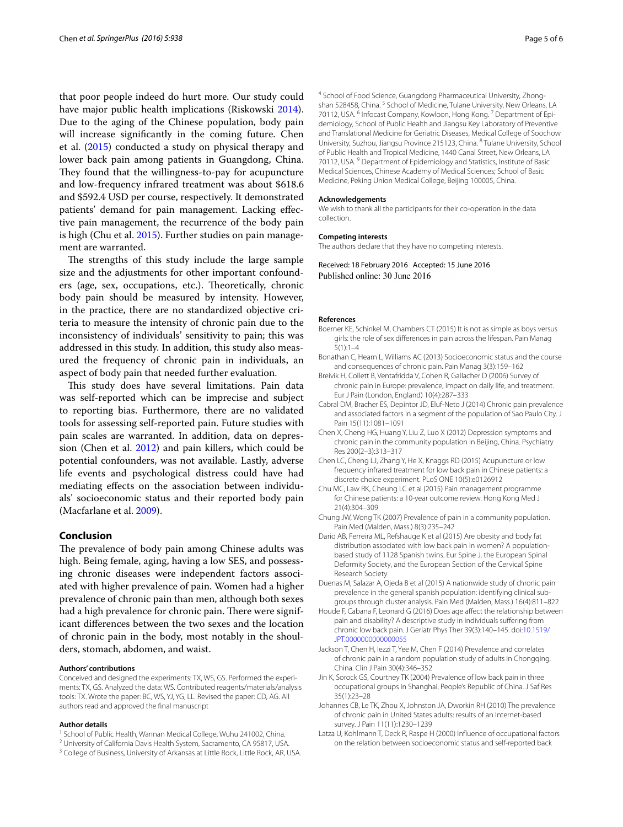that poor people indeed do hurt more. Our study could have major public health implications (Riskowski [2014](#page-5-12)). Due to the aging of the Chinese population, body pain will increase significantly in the coming future. Chen et al. ([2015\)](#page-4-12) conducted a study on physical therapy and lower back pain among patients in Guangdong, China. They found that the willingness-to-pay for acupuncture and low-frequency infrared treatment was about \$618.6 and \$592.4 USD per course, respectively. It demonstrated patients' demand for pain management. Lacking effective pain management, the recurrence of the body pain is high (Chu et al. [2015](#page-4-13)). Further studies on pain management are warranted.

The strengths of this study include the large sample size and the adjustments for other important confounders (age, sex, occupations, etc.). Theoretically, chronic body pain should be measured by intensity. However, in the practice, there are no standardized objective criteria to measure the intensity of chronic pain due to the inconsistency of individuals' sensitivity to pain; this was addressed in this study. In addition, this study also measured the frequency of chronic pain in individuals, an aspect of body pain that needed further evaluation.

This study does have several limitations. Pain data was self-reported which can be imprecise and subject to reporting bias. Furthermore, there are no validated tools for assessing self-reported pain. Future studies with pain scales are warranted. In addition, data on depression (Chen et al. [2012](#page-4-14)) and pain killers, which could be potential confounders, was not available. Lastly, adverse life events and psychological distress could have had mediating effects on the association between individuals' socioeconomic status and their reported body pain (Macfarlane et al. [2009\)](#page-5-13).

# **Conclusion**

The prevalence of body pain among Chinese adults was high. Being female, aging, having a low SES, and possessing chronic diseases were independent factors associated with higher prevalence of pain. Women had a higher prevalence of chronic pain than men, although both sexes had a high prevalence for chronic pain. There were significant differences between the two sexes and the location of chronic pain in the body, most notably in the shoulders, stomach, abdomen, and waist.

#### **Authors' contributions**

Conceived and designed the experiments: TX, WS, GS. Performed the experiments: TX, GS. Analyzed the data: WS. Contributed reagents/materials/analysis tools: TX. Wrote the paper: BC, WS, YJ, YG, LL. Revised the paper: CD, AG. All authors read and approved the final manuscript

#### **Author details**

- 
- <sup>1</sup> School of Public Health, Wannan Medical College, Wuhu 241002, China.<br><sup>2</sup> University of California Davis Health System, Sacramento, CA 95817, USA.<br><sup>3</sup> College of Business, University of Arkansas at Little Rock, Little R
- 

<sup>4</sup> School of Food Science, Guangdong Pharmaceutical University, Zhongshan 528458, China.<sup>5</sup> School of Medicine, Tulane University, New Orleans, LA 70112, USA. <sup>6</sup> Infocast Company, Kowloon, Hong Kong. <sup>7</sup> Department of Epidemiology, School of Public Health and Jiangsu Key Laboratory of Preventive and Translational Medicine for Geriatric Diseases, Medical College of Soochow University, Suzhou, Jiangsu Province 215123, China. 8 Tulane University, School of Public Health and Tropical Medicine, 1440 Canal Street, New Orleans, LA 70112, USA.<sup>9</sup> Department of Epidemiology and Statistics, Institute of Basic Medical Sciences, Chinese Academy of Medical Sciences; School of Basic Medicine, Peking Union Medical College, Beijing 100005, China.

#### **Acknowledgements**

We wish to thank all the participants for their co-operation in the data collection.

#### **Competing interests**

The authors declare that they have no competing interests.

Received: 18 February 2016 Accepted: 15 June 2016 Published online: 30 June 2016

#### **References**

- <span id="page-4-4"></span>Boerner KE, Schinkel M, Chambers CT (2015) It is not as simple as boys versus girls: the role of sex differences in pain across the lifespan. Pain Manag 5(1):1–4
- <span id="page-4-10"></span>Bonathan C, Hearn L, Williams AC (2013) Socioeconomic status and the course and consequences of chronic pain. Pain Manag 3(3):159–162
- <span id="page-4-9"></span>Breivik H, Collett B, Ventafridda V, Cohen R, Gallacher D (2006) Survey of chronic pain in Europe: prevalence, impact on daily life, and treatment. Eur J Pain (London, England) 10(4):287–333
- <span id="page-4-0"></span>Cabral DM, Bracher ES, Depintor JD, Eluf-Neto J (2014) Chronic pain prevalence and associated factors in a segment of the population of Sao Paulo City. J Pain 15(11):1081–1091
- <span id="page-4-14"></span>Chen X, Cheng HG, Huang Y, Liu Z, Luo X (2012) Depression symptoms and chronic pain in the community population in Beijing, China. Psychiatry Res 200(2–3):313–317
- <span id="page-4-12"></span>Chen LC, Cheng LJ, Zhang Y, He X, Knaggs RD (2015) Acupuncture or low frequency infrared treatment for low back pain in Chinese patients: a discrete choice experiment. PLoS ONE 10(5):e0126912
- <span id="page-4-13"></span>Chu MC, Law RK, Cheung LC et al (2015) Pain management programme for Chinese patients: a 10-year outcome review. Hong Kong Med J 21(4):304–309
- <span id="page-4-8"></span>Chung JW, Wong TK (2007) Prevalence of pain in a community population. Pain Med (Malden, Mass.) 8(3):235–242
- <span id="page-4-3"></span>Dario AB, Ferreira ML, Refshauge K et al (2015) Are obesity and body fat distribution associated with low back pain in women? A populationbased study of 1128 Spanish twins. Eur Spine J, the European Spinal Deformity Society, and the European Section of the Cervical Spine Research Society
- <span id="page-4-1"></span>Duenas M, Salazar A, Ojeda B et al (2015) A nationwide study of chronic pain prevalence in the general spanish population: identifying clinical subgroups through cluster analysis. Pain Med (Malden, Mass.) 16(4):811–822
- <span id="page-4-5"></span>Houde F, Cabana F, Leonard G (2016) Does age affect the relationship between pain and disability? A descriptive study in individuals suffering from chronic low back pain. J Geriatr Phys Ther 39(3):140–145. doi[:10.1519/](http://dx.doi.org/10.1519/JPT.0000000000000055) [JPT.0000000000000055](http://dx.doi.org/10.1519/JPT.0000000000000055)
- <span id="page-4-7"></span>Jackson T, Chen H, Iezzi T, Yee M, Chen F (2014) Prevalence and correlates of chronic pain in a random population study of adults in Chongqing, China. Clin J Pain 30(4):346–352
- <span id="page-4-11"></span>Jin K, Sorock GS, Courtney TK (2004) Prevalence of low back pain in three occupational groups in Shanghai, People's Republic of China. J Saf Res 35(1):23–28
- <span id="page-4-2"></span>Johannes CB, Le TK, Zhou X, Johnston JA, Dworkin RH (2010) The prevalence of chronic pain in United States adults: results of an Internet-based survey. J Pain 11(11):1230–1239
- <span id="page-4-6"></span>Latza U, Kohlmann T, Deck R, Raspe H (2000) Influence of occupational factors on the relation between socioeconomic status and self-reported back